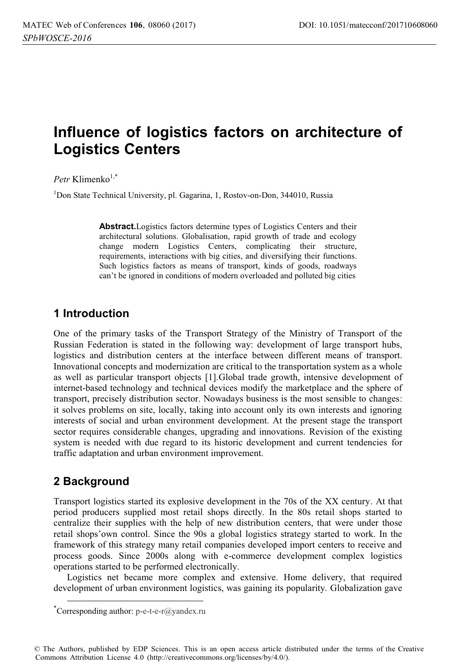# **Influence of logistics factors on architecture of Logistics Centers**

*Petr* Klimenko<sup>1,\*</sup>

<sup>1</sup>Don State Technical University, pl. Gagarina, 1, Rostov-on-Don, 344010, Russia

**Abstract.**Logistics factors determine types of Logistics Centers and their architectural solutions. Globalisation, rapid growth of trade and ecology change modern Logistics Centers, complicating their structure, requirements, interactions with big cities, and diversifying their functions. Such logistics factors as means of transport, kinds of goods, roadways can't be ignored in conditions of modern overloaded and polluted big cities

### **1 Introduction**

One of the primary tasks of the Transport Strategy of the Ministry of Transport of the Russian Federation is stated in the following way: development of large transport hubs, logistics and distribution centers at the interface between different means of transport. Innovational concepts and modernization are critical to the transportation system as a whole as well as particular transport objects [1].Global trade growth, intensive development of internet-based technology and technical devices modify the marketplace and the sphere of transport, precisely distribution sector. Nowadays business is the most sensible to changes: it solves problems on site, locally, taking into account only its own interests and ignoring interests of social and urban environment development. At the present stage the transport sector requires considerable changes, upgrading and innovations. Revision of the existing system is needed with due regard to its historic development and current tendencies for traffic adaptation and urban environment improvement.

## **2 Background**

Transport logistics started its explosive development in the 70s of the XX century. At that period producers supplied most retail shops directly. In the 80s retail shops started to centralize their supplies with the help of new distribution centers, that were under those retail shops'own control. Since the 90s a global logistics strategy started to work. In the framework of this strategy many retail companies developed import centers to receive and process goods. Since 2000s along with e-commerce development complex logistics operations started to be performed electronically.

Logistics net became more complex and extensive. Home delivery, that required development of urban environment logistics, was gaining its popularity. Globalization gave

 <sup>\*</sup> Corresponding author: p-e-t-e-r@yandex.ru

<sup>©</sup> The Authors, published by EDP Sciences. This is an open access article distributed under the terms of the Creative Commons Attribution License 4.0 (http://creativecommons.org/licenses/by/4.0/).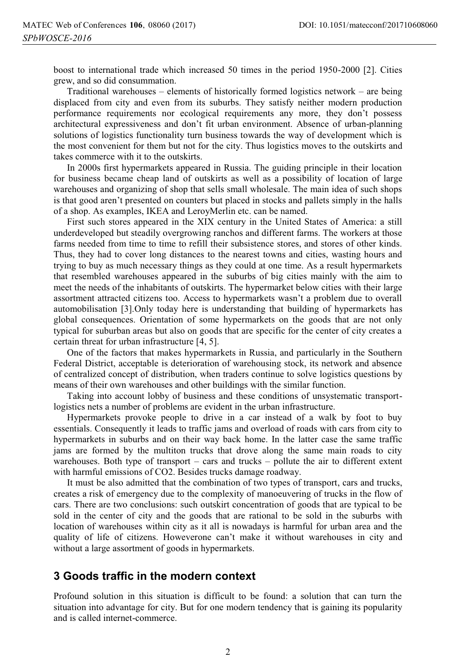boost to international trade which increased 50 times in the period 1950-2000 [2]. Cities grew, and so did consummation.

Traditional warehouses – elements of historically formed logistics network – are being displaced from city and even from its suburbs. They satisfy neither modern production performance requirements nor ecological requirements any more, they don't possess architectural expressiveness and don't fit urban environment. Absence of urban-planning solutions of logistics functionality turn business towards the way of development which is the most convenient for them but not for the city. Thus logistics moves to the outskirts and takes commerce with it to the outskirts.

In 2000s first hypermarkets appeared in Russia. The guiding principle in their location for business became cheap land of outskirts as well as a possibility of location of large warehouses and organizing of shop that sells small wholesale. The main idea of such shops is that good aren't presented on counters but placed in stocks and pallets simply in the halls of a shop. As examples, IKEA and LeroyMerlin etc. can be named.

First such stores appeared in the XIX century in the United States of America: a still underdeveloped but steadily overgrowing ranchos and different farms. The workers at those farms needed from time to time to refill their subsistence stores, and stores of other kinds. Thus, they had to cover long distances to the nearest towns and cities, wasting hours and trying to buy as much necessary things as they could at one time. As a result hypermarkets that resembled warehouses appeared in the suburbs of big cities mainly with the aim to meet the needs of the inhabitants of outskirts. The hypermarket below cities with their large assortment attracted citizens too. Access to hypermarkets wasn't a problem due to overall automobilisation [3].Only today here is understanding that building of hypermarkets has global consequences. Orientation of some hypermarkets on the goods that are not only typical for suburban areas but also on goods that are specific for the center of city creates a certain threat for urban infrastructure [4, 5].

One of the factors that makes hypermarkets in Russia, and particularly in the Southern Federal District, acceptable is deterioration of warehousing stock, its network and absence of centralized concept of distribution, when traders continue to solve logistics questions by means of their own warehouses and other buildings with the similar function.

Taking into account lobby of business and these conditions of unsystematic transportlogistics nets a number of problems are evident in the urban infrastructure.

Hypermarkets provoke people to drive in a car instead of a walk by foot to buy essentials. Consequently it leads to traffic jams and overload of roads with cars from city to hypermarkets in suburbs and on their way back home. In the latter case the same traffic jams are formed by the multiton trucks that drove along the same main roads to city warehouses. Both type of transport – cars and trucks – pollute the air to different extent with harmful emissions of CO2. Besides trucks damage roadway.

It must be also admitted that the combination of two types of transport, cars and trucks, creates a risk of emergency due to the complexity of manoeuvering of trucks in the flow of cars. There are two conclusions: such outskirt concentration of goods that are typical to be sold in the center of city and the goods that are rational to be sold in the suburbs with location of warehouses within city as it all is nowadays is harmful for urban area and the quality of life of citizens. Howeverone can't make it without warehouses in city and without a large assortment of goods in hypermarkets.

## **3 Goods traffic in the modern context**

Profound solution in this situation is difficult to be found: a solution that can turn the situation into advantage for city. But for one modern tendency that is gaining its popularity and is called internet-commerce.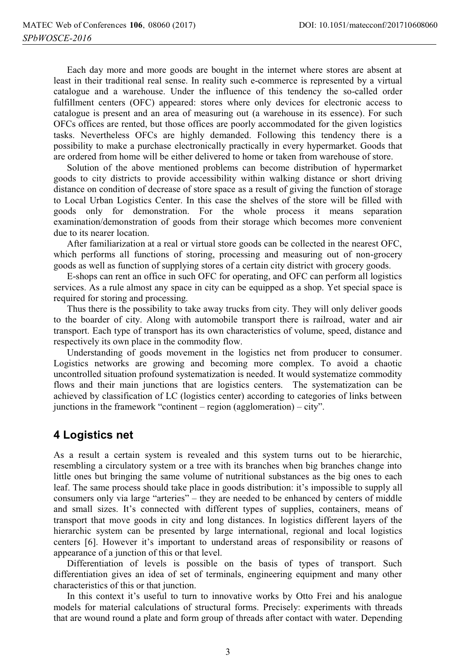Each day more and more goods are bought in the internet where stores are absent at least in their traditional real sense. In reality such e-commerce is represented by a virtual catalogue and a warehouse. Under the influence of this tendency the so-called order fulfillment centers (OFC) appeared: stores where only devices for electronic access to catalogue is present and an area of measuring out (a warehouse in its essence). For such OFCs offices are rented, but those offices are poorly accommodated for the given logistics tasks. Nevertheless OFCs are highly demanded. Following this tendency there is a possibility to make a purchase electronically practically in every hypermarket. Goods that are ordered from home will be either delivered to home or taken from warehouse of store.

Solution of the above mentioned problems can become distribution of hypermarket goods to city districts to provide accessibility within walking distance or short driving distance on condition of decrease of store space as a result of giving the function of storage to Local Urban Logistics Center. In this case the shelves of the store will be filled with goods only for demonstration. For the whole process it means separation examination/demonstration of goods from their storage which becomes more convenient due to its nearer location.

After familiarization at a real or virtual store goods can be collected in the nearest OFC, which performs all functions of storing, processing and measuring out of non-grocery goods as well as function of supplying stores of a certain city district with grocery goods.

E-shops can rent an office in such OFC for operating, and OFC can perform all logistics services. As a rule almost any space in city can be equipped as a shop. Yet special space is required for storing and processing.

Thus there is the possibility to take away trucks from city. They will only deliver goods to the boarder of city. Along with automobile transport there is railroad, water and air transport. Each type of transport has its own characteristics of volume, speed, distance and respectively its own place in the commodity flow.

Understanding of goods movement in the logistics net from producer to consumer. Logistics networks are growing and becoming more complex. To avoid a chaotic uncontrolled situation profound systematization is needed. It would systematize commodity flows and their main junctions that are logistics centers. The systematization can be achieved by classification of LC (logistics center) according to categories of links between junctions in the framework "continent – region (agglomeration) – city".

# **4 Logistics net**

As a result a certain system is revealed and this system turns out to be hierarchic, resembling a circulatory system or a tree with its branches when big branches change into little ones but bringing the same volume of nutritional substances as the big ones to each leaf. The same process should take place in goods distribution: it's impossible to supply all consumers only via large "arteries" – they are needed to be enhanced by centers of middle and small sizes. It's connected with different types of supplies, containers, means of transport that move goods in city and long distances. In logistics different layers of the hierarchic system can be presented by large international, regional and local logistics centers [6]. However it's important to understand areas of responsibility or reasons of appearance of a junction of this or that level.

Differentiation of levels is possible on the basis of types of transport. Such differentiation gives an idea of set of terminals, engineering equipment and many other characteristics of this or that junction.

In this context it's useful to turn to innovative works by Otto Frei and his analogue models for material calculations of structural forms. Precisely: experiments with threads that are wound round a plate and form group of threads after contact with water. Depending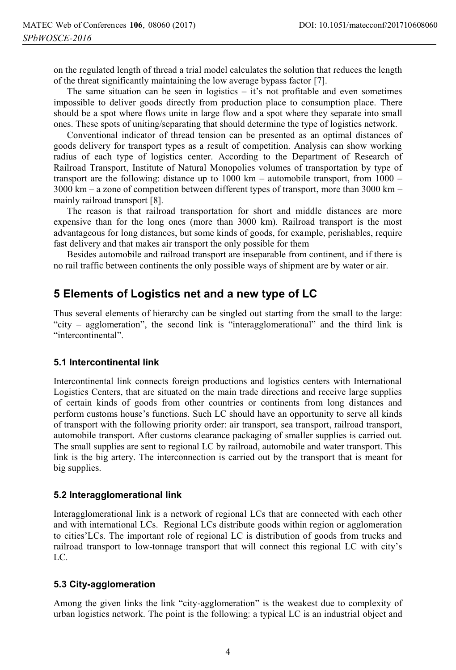on the regulated length of thread a trial model calculates the solution that reduces the length of the threat significantly maintaining the low average bypass factor [7].

The same situation can be seen in logistics – it's not profitable and even sometimes impossible to deliver goods directly from production place to consumption place. There should be a spot where flows unite in large flow and a spot where they separate into small ones. These spots of uniting/separating that should determine the type of logistics network.

Conventional indicator of thread tension can be presented as an optimal distances of goods delivery for transport types as a result of competition. Analysis can show working radius of each type of logistics center. According to the Department of Research of Railroad Transport, Institute of Natural Monopolies volumes of transportation by type of transport are the following: distance up to 1000 km – automobile transport, from 1000 – 3000 km – a zone of competition between different types of transport, more than 3000 km – mainly railroad transport [8].

The reason is that railroad transportation for short and middle distances are more expensive than for the long ones (more than 3000 km). Railroad transport is the most advantageous for long distances, but some kinds of goods, for example, perishables, require fast delivery and that makes air transport the only possible for them

Besides automobile and railroad transport are inseparable from continent, and if there is no rail traffic between continents the only possible ways of shipment are by water or air.

# **5 Elements of Logistics net and a new type of LC**

Thus several elements of hierarchy can be singled out starting from the small to the large: "city – agglomeration", the second link is "interagglomerational" and the third link is "intercontinental".

#### **5.1 Intercontinental link**

Intercontinental link connects foreign productions and logistics centers with International Logistics Centers, that are situated on the main trade directions and receive large supplies of certain kinds of goods from other countries or continents from long distances and perform customs house's functions. Such LC should have an opportunity to serve all kinds of transport with the following priority order: air transport, sea transport, railroad transport, automobile transport. After customs clearance packaging of smaller supplies is carried out. The small supplies are sent to regional LC by railroad, automobile and water transport. This link is the big artery. The interconnection is carried out by the transport that is meant for big supplies.

#### **5.2 Interagglomerational link**

Interagglomerational link is a network of regional LCs that are connected with each other and with international LCs. Regional LCs distribute goods within region or agglomeration to cities'LCs. The important role of regional LC is distribution of goods from trucks and railroad transport to low-tonnage transport that will connect this regional LC with city's LC.

#### **5.3 City-agglomeration**

Among the given links the link "city-agglomeration" is the weakest due to complexity of urban logistics network. The point is the following: a typical LC is an industrial object and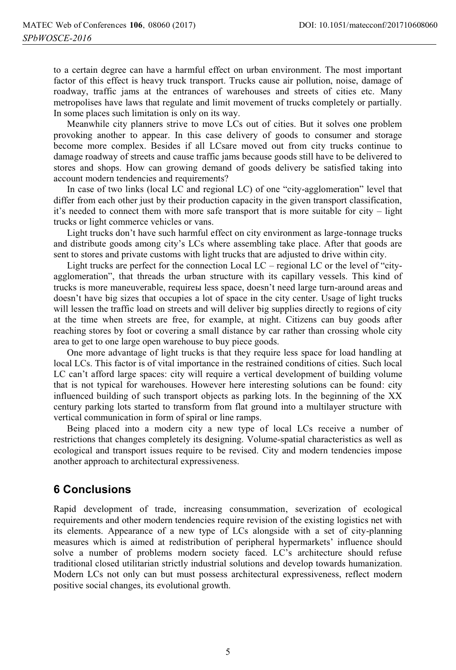to a certain degree can have a harmful effect on urban environment. The most important factor of this effect is heavy truck transport. Trucks cause air pollution, noise, damage of roadway, traffic jams at the entrances of warehouses and streets of cities etc. Many metropolises have laws that regulate and limit movement of trucks completely or partially. In some places such limitation is only on its way.

Meanwhile city planners strive to move LCs out of cities. But it solves one problem provoking another to appear. In this case delivery of goods to consumer and storage become more complex. Besides if all LCsare moved out from city trucks continue to damage roadway of streets and cause traffic jams because goods still have to be delivered to stores and shops. How can growing demand of goods delivery be satisfied taking into account modern tendencies and requirements?

In case of two links (local LC and regional LC) of one "city-agglomeration" level that differ from each other just by their production capacity in the given transport classification, it's needed to connect them with more safe transport that is more suitable for city – light trucks or light commerce vehicles or vans.

Light trucks don't have such harmful effect on city environment as large-tonnage trucks and distribute goods among city's LCs where assembling take place. After that goods are sent to stores and private customs with light trucks that are adjusted to drive within city.

Light trucks are perfect for the connection Local LC – regional LC or the level of "cityagglomeration", that threads the urban structure with its capillary vessels. This kind of trucks is more maneuverable, requireы less space, doesn't need large turn-around areas and doesn't have big sizes that occupies a lot of space in the city center. Usage of light trucks will lessen the traffic load on streets and will deliver big supplies directly to regions of city at the time when streets are free, for example, at night. Citizens can buy goods after reaching stores by foot or covering a small distance by car rather than crossing whole city area to get to one large open warehouse to buy piece goods.

One more advantage of light trucks is that they require less space for load handling at local LCs. This factor is of vital importance in the restrained conditions of cities. Such local LC can't afford large spaces: city will require a vertical development of building volume that is not typical for warehouses. However here interesting solutions can be found: city influenced building of such transport objects as parking lots. In the beginning of the XX century parking lots started to transform from flat ground into a multilayer structure with vertical communication in form of spiral or line ramps.

Being placed into a modern city a new type of local LCs receive a number of restrictions that changes completely its designing. Volume-spatial characteristics as well as ecological and transport issues require to be revised. City and modern tendencies impose another approach to architectural expressiveness.

# **6 Conclusions**

Rapid development of trade, increasing consummation, severization of ecological requirements and other modern tendencies require revision of the existing logistics net with its elements. Appearance of a new type of LCs alongside with a set of city-planning measures which is aimed at redistribution of peripheral hypermarkets' influence should solve a number of problems modern society faced. LC's architecture should refuse traditional closed utilitarian strictly industrial solutions and develop towards humanization. Modern LCs not only can but must possess architectural expressiveness, reflect modern positive social changes, its evolutional growth.